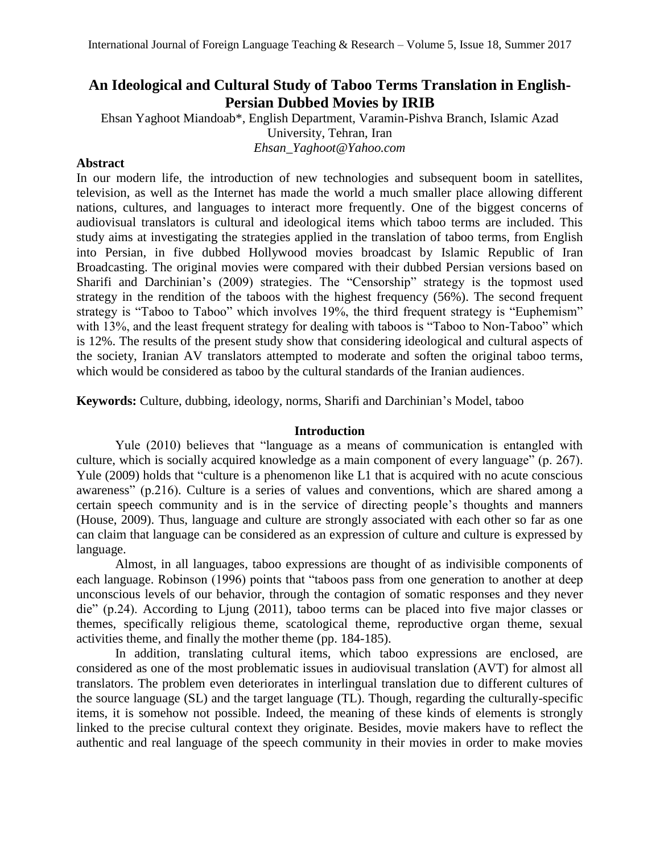# **An Ideological and Cultural Study of Taboo Terms Translation in English-Persian Dubbed Movies by IRIB**

Ehsan Yaghoot Miandoab\*, English Department, Varamin-Pishva Branch, Islamic Azad University, Tehran, Iran *Ehsan\_Yaghoot@Yahoo.com*

## **Abstract**

In our modern life, the introduction of new technologies and subsequent boom in satellites, television, as well as the Internet has made the world a much smaller place allowing different nations, cultures, and languages to interact more frequently. One of the biggest concerns of audiovisual translators is cultural and ideological items which taboo terms are included. This study aims at investigating the strategies applied in the translation of taboo terms, from English into Persian, in five dubbed Hollywood movies broadcast by Islamic Republic of Iran Broadcasting. The original movies were compared with their dubbed Persian versions based on Sharifi and Darchinian's (2009) strategies. The "Censorship" strategy is the topmost used strategy in the rendition of the taboos with the highest frequency (56%). The second frequent strategy is "Taboo to Taboo" which involves 19%, the third frequent strategy is "Euphemism" with 13%, and the least frequent strategy for dealing with taboos is "Taboo to Non-Taboo" which is 12%. The results of the present study show that considering ideological and cultural aspects of the society, Iranian AV translators attempted to moderate and soften the original taboo terms, which would be considered as taboo by the cultural standards of the Iranian audiences.

**Keywords:** Culture, dubbing, ideology, norms, Sharifi and Darchinian's Model, taboo

## **Introduction**

Yule (2010) believes that "language as a means of communication is entangled with culture, which is socially acquired knowledge as a main component of every language" (p. 267). Yule (2009) holds that "culture is a phenomenon like L1 that is acquired with no acute conscious awareness" (p.216). Culture is a series of values and conventions, which are shared among a certain speech community and is in the service of directing people's thoughts and manners (House, 2009). Thus, language and culture are strongly associated with each other so far as one can claim that language can be considered as an expression of culture and culture is expressed by language.

Almost, in all languages, taboo expressions are thought of as indivisible components of each language. Robinson (1996) points that "taboos pass from one generation to another at deep unconscious levels of our behavior, through the contagion of somatic responses and they never die" (p.24). According to Ljung (2011), taboo terms can be placed into five major classes or themes, specifically religious theme, scatological theme, reproductive organ theme, sexual activities theme, and finally the mother theme (pp. 184-185).

In addition, translating cultural items, which taboo expressions are enclosed, are considered as one of the most problematic issues in audiovisual translation (AVT) for almost all translators. The problem even deteriorates in interlingual translation due to different cultures of the source language (SL) and the target language (TL). Though, regarding the culturally-specific items, it is somehow not possible. Indeed, the meaning of these kinds of elements is strongly linked to the precise cultural context they originate. Besides, movie makers have to reflect the authentic and real language of the speech community in their movies in order to make movies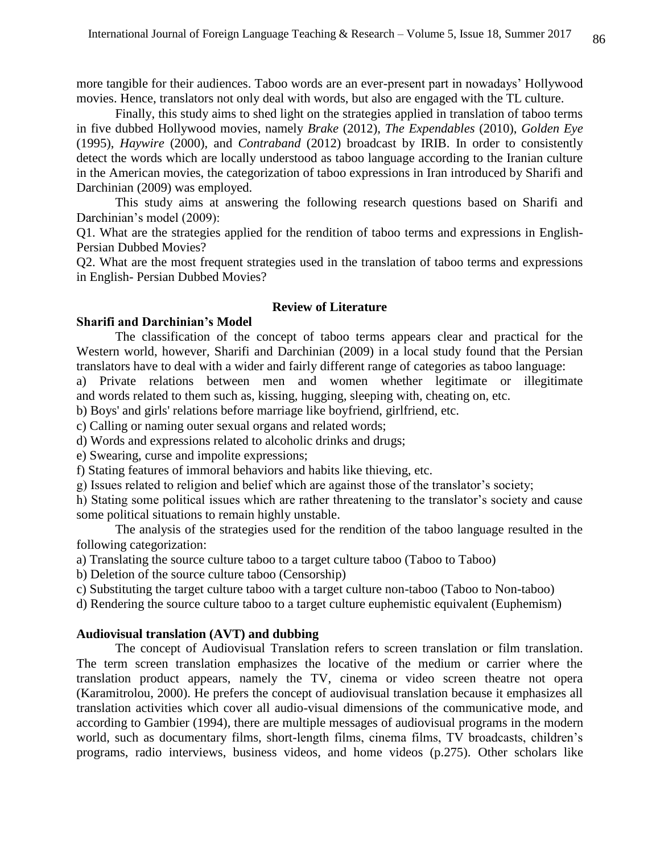more tangible for their audiences. Taboo words are an ever-present part in nowadays' Hollywood movies. Hence, translators not only deal with words, but also are engaged with the TL culture.

Finally, this study aims to shed light on the strategies applied in translation of taboo terms in five dubbed Hollywood movies, namely *Brake* (2012), *The Expendables* (2010), *Golden Eye* (1995), *Haywire* (2000), and *Contraband* (2012) broadcast by IRIB. In order to consistently detect the words which are locally understood as taboo language according to the Iranian culture in the American movies, the categorization of taboo expressions in Iran introduced by Sharifi and Darchinian (2009) was employed.

This study aims at answering the following research questions based on Sharifi and Darchinian's model (2009):

Q1. What are the strategies applied for the rendition of taboo terms and expressions in English-Persian Dubbed Movies?

Q2. What are the most frequent strategies used in the translation of taboo terms and expressions in English- Persian Dubbed Movies?

#### **Review of Literature**

#### **Sharifi and Darchinian's Model**

The classification of the concept of taboo terms appears clear and practical for the Western world, however, Sharifi and Darchinian (2009) in a local study found that the Persian translators have to deal with a wider and fairly different range of categories as taboo language:

a) Private relations between men and women whether legitimate or illegitimate and words related to them such as, kissing, hugging, sleeping with, cheating on, etc.

b) Boys' and girls' relations before marriage like boyfriend, girlfriend, etc.

c) Calling or naming outer sexual organs and related words;

d) Words and expressions related to alcoholic drinks and drugs;

e) Swearing, curse and impolite expressions;

f) Stating features of immoral behaviors and habits like thieving, etc.

g) Issues related to religion and belief which are against those of the translator's society;

h) Stating some political issues which are rather threatening to the translator's society and cause some political situations to remain highly unstable.

The analysis of the strategies used for the rendition of the taboo language resulted in the following categorization:

a) Translating the source culture taboo to a target culture taboo (Taboo to Taboo)

b) Deletion of the source culture taboo (Censorship)

c) Substituting the target culture taboo with a target culture non-taboo (Taboo to Non-taboo)

d) Rendering the source culture taboo to a target culture euphemistic equivalent (Euphemism)

### **Audiovisual translation (AVT) and dubbing**

The concept of Audiovisual Translation refers to screen translation or film translation. The term screen translation emphasizes the locative of the medium or carrier where the translation product appears, namely the TV, cinema or video screen theatre not opera (Karamitrolou, 2000). He prefers the concept of audiovisual translation because it emphasizes all translation activities which cover all audio-visual dimensions of the communicative mode, and according to Gambier (1994), there are multiple messages of audiovisual programs in the modern world, such as documentary films, short-length films, cinema films, TV broadcasts, children's programs, radio interviews, business videos, and home videos (p.275). Other scholars like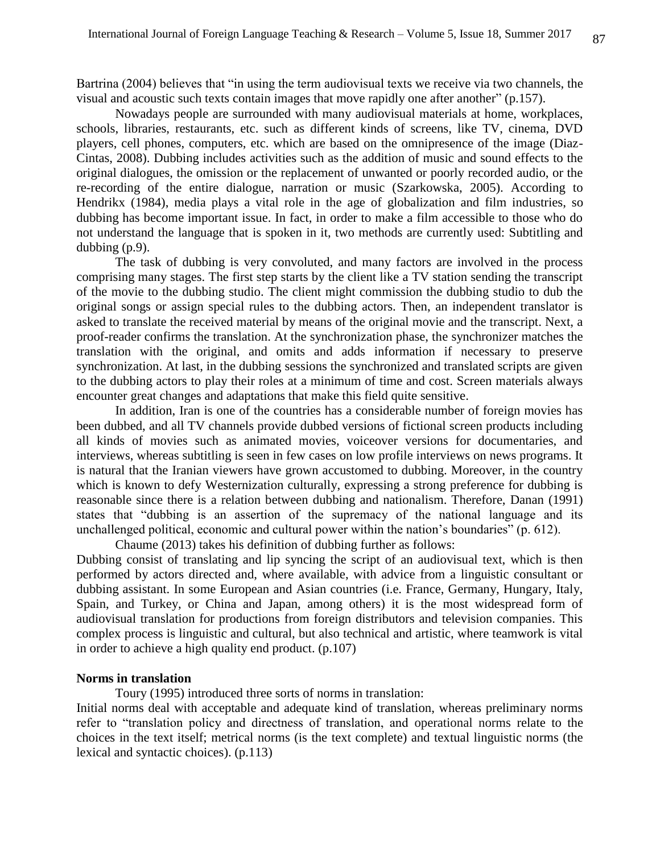Bartrina (2004) believes that "in using the term audiovisual texts we receive via two channels, the visual and acoustic such texts contain images that move rapidly one after another" (p.157).

Nowadays people are surrounded with many audiovisual materials at home, workplaces, schools, libraries, restaurants, etc. such as different kinds of screens, like TV, cinema, DVD players, cell phones, computers, etc. which are based on the omnipresence of the image (Diaz-Cintas, 2008). Dubbing includes activities such as the addition of music and sound effects to the original dialogues, the omission or the replacement of unwanted or poorly recorded audio, or the re-recording of the entire dialogue, narration or music (Szarkowska, 2005). According to Hendrikx (1984), media plays a vital role in the age of globalization and film industries, so dubbing has become important issue. In fact, in order to make a film accessible to those who do not understand the language that is spoken in it, two methods are currently used: Subtitling and dubbing (p.9).

The task of dubbing is very convoluted, and many factors are involved in the process comprising many stages. The first step starts by the client like a TV station sending the transcript of the movie to the dubbing studio. The client might commission the dubbing studio to dub the original songs or assign special rules to the dubbing actors. Then, an independent translator is asked to translate the received material by means of the original movie and the transcript. Next, a proof-reader confirms the translation. At the synchronization phase, the synchronizer matches the translation with the original, and omits and adds information if necessary to preserve synchronization. At last, in the dubbing sessions the synchronized and translated scripts are given to the dubbing actors to play their roles at a minimum of time and cost. Screen materials always encounter great changes and adaptations that make this field quite sensitive.

 In addition, Iran is one of the countries has a considerable number of foreign movies has been dubbed, and all TV channels provide dubbed versions of fictional screen products including all kinds of movies such as animated movies, voiceover versions for documentaries, and interviews, whereas subtitling is seen in few cases on low profile interviews on news programs. It is natural that the Iranian viewers have grown accustomed to dubbing. Moreover, in the country which is known to defy Westernization culturally, expressing a strong preference for dubbing is reasonable since there is a relation between dubbing and nationalism. Therefore, Danan (1991) states that "dubbing is an assertion of the supremacy of the national language and its unchallenged political, economic and cultural power within the nation's boundaries" (p. 612).

 Chaume (2013) takes his definition of dubbing further as follows: Dubbing consist of translating and lip syncing the script of an audiovisual text, which is then performed by actors directed and, where available, with advice from a linguistic consultant or dubbing assistant. In some European and Asian countries (i.e. France, Germany, Hungary, Italy, Spain, and Turkey, or China and Japan, among others) it is the most widespread form of audiovisual translation for productions from foreign distributors and television companies. This complex process is linguistic and cultural, but also technical and artistic, where teamwork is vital in order to achieve a high quality end product. (p.107)

#### **Norms in translation**

Toury (1995) introduced three sorts of norms in translation:

Initial norms deal with acceptable and adequate kind of translation, whereas preliminary norms refer to "translation policy and directness of translation, and operational norms relate to the choices in the text itself; metrical norms (is the text complete) and textual linguistic norms (the lexical and syntactic choices). (p.113)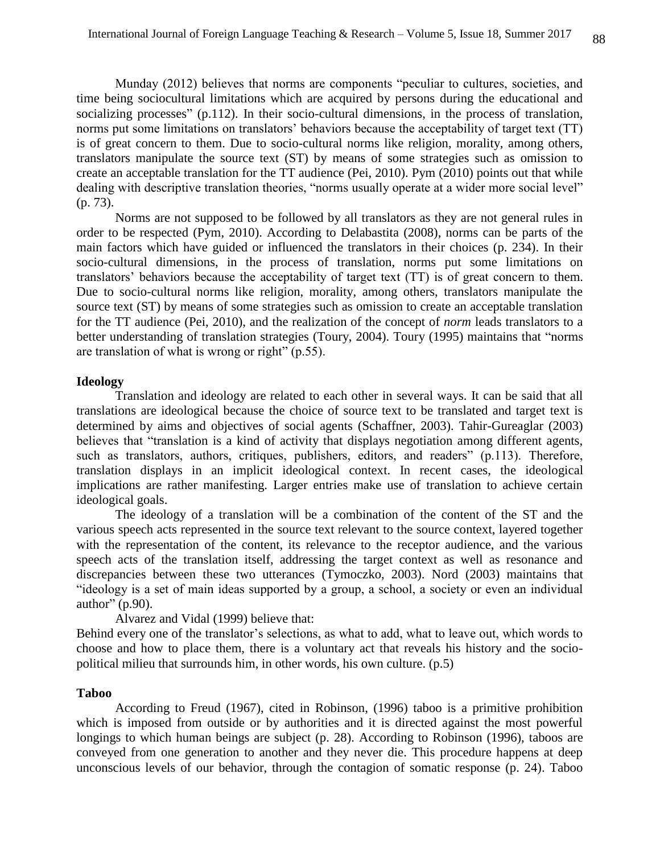Munday (2012) believes that norms are components "peculiar to cultures, societies, and time being sociocultural limitations which are acquired by persons during the educational and socializing processes" (p.112). In their socio-cultural dimensions, in the process of translation, norms put some limitations on translators' behaviors because the acceptability of target text (TT) is of great concern to them. Due to socio-cultural norms like religion, morality, among others, translators manipulate the source text (ST) by means of some strategies such as omission to create an acceptable translation for the TT audience (Pei, 2010). Pym (2010) points out that while dealing with descriptive translation theories, "norms usually operate at a wider more social level" (p. 73).

Norms are not supposed to be followed by all translators as they are not general rules in order to be respected (Pym, 2010). According to Delabastita (2008), norms can be parts of the main factors which have guided or influenced the translators in their choices (p. 234). In their socio-cultural dimensions, in the process of translation, norms put some limitations on translators' behaviors because the acceptability of target text (TT) is of great concern to them. Due to socio-cultural norms like religion, morality, among others, translators manipulate the source text (ST) by means of some strategies such as omission to create an acceptable translation for the TT audience (Pei, 2010), and the realization of the concept of *norm* leads translators to a better understanding of translation strategies (Toury, 2004). Toury (1995) maintains that "norms are translation of what is wrong or right" (p.55).

#### **Ideology**

Translation and ideology are related to each other in several ways. It can be said that all translations are ideological because the choice of source text to be translated and target text is determined by aims and objectives of social agents (Schaffner, 2003). Tahir-Gureaglar (2003) believes that "translation is a kind of activity that displays negotiation among different agents, such as translators, authors, critiques, publishers, editors, and readers" (p.113). Therefore, translation displays in an implicit ideological context. In recent cases, the ideological implications are rather manifesting. Larger entries make use of translation to achieve certain ideological goals.

The ideology of a translation will be a combination of the content of the ST and the various speech acts represented in the source text relevant to the source context, layered together with the representation of the content, its relevance to the receptor audience, and the various speech acts of the translation itself, addressing the target context as well as resonance and discrepancies between these two utterances (Tymoczko, 2003). Nord (2003) maintains that "ideology is a set of main ideas supported by a group, a school, a society or even an individual author" (p.90).

Alvarez and Vidal (1999) believe that:

Behind every one of the translator's selections, as what to add, what to leave out, which words to choose and how to place them, there is a voluntary act that reveals his history and the sociopolitical milieu that surrounds him, in other words, his own culture. (p.5)

### **Taboo**

According to Freud (1967), cited in Robinson, (1996) taboo is a primitive prohibition which is imposed from outside or by authorities and it is directed against the most powerful longings to which human beings are subject (p. 28). According to Robinson (1996), taboos are conveyed from one generation to another and they never die. This procedure happens at deep unconscious levels of our behavior, through the contagion of somatic response (p. 24). Taboo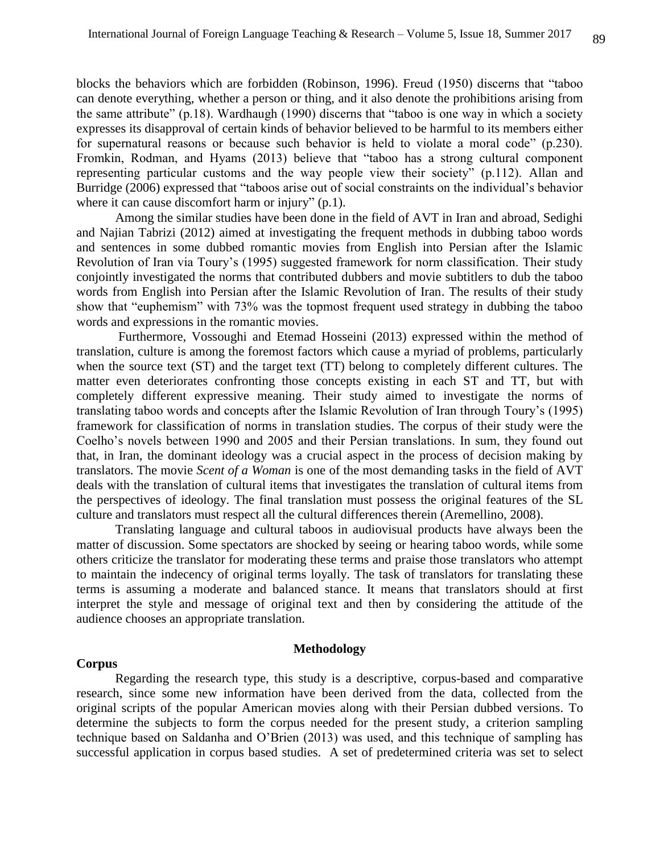blocks the behaviors which are forbidden (Robinson, 1996). Freud (1950) discerns that "taboo can denote everything, whether a person or thing, and it also denote the prohibitions arising from the same attribute" (p.18). Wardhaugh (1990) discerns that "taboo is one way in which a society expresses its disapproval of certain kinds of behavior believed to be harmful to its members either for supernatural reasons or because such behavior is held to violate a moral code" (p.230). Fromkin, Rodman, and Hyams (2013) believe that "taboo has a strong cultural component representing particular customs and the way people view their society" (p.112). Allan and Burridge (2006) expressed that "taboos arise out of social constraints on the individual's behavior where it can cause discomfort harm or injury" (p.1).

Among the similar studies have been done in the field of AVT in Iran and abroad, Sedighi and Najian Tabrizi (2012) aimed at investigating the frequent methods in dubbing taboo words and sentences in some dubbed romantic movies from English into Persian after the Islamic Revolution of Iran via Toury's (1995) suggested framework for norm classification. Their study conjointly investigated the norms that contributed dubbers and movie subtitlers to dub the taboo words from English into Persian after the Islamic Revolution of Iran. The results of their study show that "euphemism" with 73% was the topmost frequent used strategy in dubbing the taboo words and expressions in the romantic movies.

Furthermore, Vossoughi and Etemad Hosseini (2013) expressed within the method of translation, culture is among the foremost factors which cause a myriad of problems, particularly when the source text (ST) and the target text (TT) belong to completely different cultures. The matter even deteriorates confronting those concepts existing in each ST and TT, but with completely different expressive meaning. Their study aimed to investigate the norms of translating taboo words and concepts after the Islamic Revolution of Iran through Toury's (1995) framework for classification of norms in translation studies. The corpus of their study were the Coelho's novels between 1990 and 2005 and their Persian translations. In sum, they found out that, in Iran, the dominant ideology was a crucial aspect in the process of decision making by translators. The movie *Scent of a Woman* is one of the most demanding tasks in the field of AVT deals with the translation of cultural items that investigates the translation of cultural items from the perspectives of ideology. The final translation must possess the original features of the SL culture and translators must respect all the cultural differences therein (Aremellino, 2008).

Translating language and cultural taboos in audiovisual products have always been the matter of discussion. Some spectators are shocked by seeing or hearing taboo words, while some others criticize the translator for moderating these terms and praise those translators who attempt to maintain the indecency of original terms loyally. The task of translators for translating these terms is assuming a moderate and balanced stance. It means that translators should at first interpret the style and message of original text and then by considering the attitude of the audience chooses an appropriate translation.

#### **Corpus**

#### **Methodology**

Regarding the research type, this study is a descriptive, corpus-based and comparative research, since some new information have been derived from the data, collected from the original scripts of the popular American movies along with their Persian dubbed versions. To determine the subjects to form the corpus needed for the present study, a criterion sampling technique based on Saldanha and O'Brien (2013) was used, and this technique of sampling has successful application in corpus based studies. A set of predetermined criteria was set to select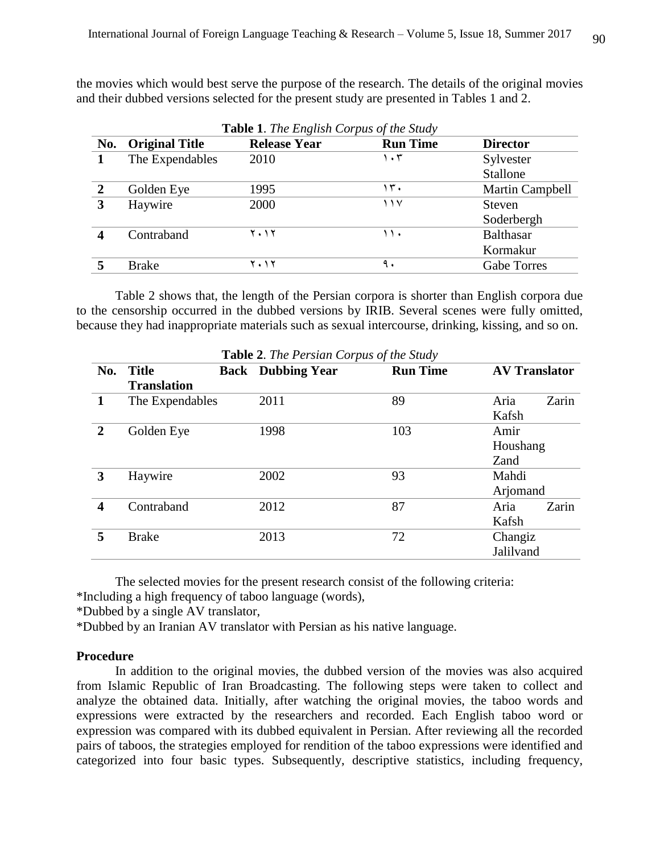the movies which would best serve the purpose of the research. The details of the original movies and their dubbed versions selected for the present study are presented in Tables 1 and 2.

|              | Table 1. The English Corpus of the Study |                     |                 |                    |  |  |
|--------------|------------------------------------------|---------------------|-----------------|--------------------|--|--|
| No.          | <b>Original Title</b>                    | <b>Release Year</b> | <b>Run Time</b> | <b>Director</b>    |  |  |
|              | The Expendables                          | 2010                | ۱۰۳             | Sylvester          |  |  |
|              |                                          |                     |                 | Stallone           |  |  |
| $\mathbf{2}$ | Golden Eye                               | 1995                | ، ۳۰            | Martin Campbell    |  |  |
| 3            | Haywire                                  | 2000                | ۱۱۷             | Steven             |  |  |
|              |                                          |                     |                 | Soderbergh         |  |  |
|              | Contraband                               | ۲۰۱۲                | ۱۱۰             | <b>Balthasar</b>   |  |  |
|              |                                          |                     |                 | Kormakur           |  |  |
|              | <b>Brake</b>                             | ۲۰۱۲                | ٩.              | <b>Gabe Torres</b> |  |  |

Table 2 shows that, the length of the Persian corpora is shorter than English corpora due to the censorship occurred in the dubbed versions by IRIB. Several scenes were fully omitted, because they had inappropriate materials such as sexual intercourse, drinking, kissing, and so on.

|                  | <b>Table</b> 2. The Persian Corpus of the Study |             |                     |                 |                      |       |
|------------------|-------------------------------------------------|-------------|---------------------|-----------------|----------------------|-------|
| No.              | <b>Title</b>                                    | <b>Back</b> | <b>Dubbing Year</b> | <b>Run Time</b> | <b>AV Translator</b> |       |
|                  | <b>Translation</b>                              |             |                     |                 |                      |       |
| 1                | The Expendables                                 |             | 2011                | 89              | Aria                 | Zarin |
|                  |                                                 |             |                     |                 | Kafsh                |       |
| $\overline{2}$   | Golden Eye                                      |             | 1998                | 103             | Amir                 |       |
|                  |                                                 |             |                     |                 | Houshang             |       |
|                  |                                                 |             |                     |                 | Zand                 |       |
| 3                | Haywire                                         |             | 2002                | 93              | Mahdi                |       |
|                  |                                                 |             |                     |                 | Arjomand             |       |
| $\boldsymbol{4}$ | Contraband                                      |             | 2012                | 87              | Aria                 | Zarin |
|                  |                                                 |             |                     |                 | Kafsh                |       |
| 5                | <b>Brake</b>                                    |             | 2013                | 72              | Changiz              |       |
|                  |                                                 |             |                     |                 | Jalilvand            |       |

**Table 2**. *The Persian Corpus of the Study*

The selected movies for the present research consist of the following criteria:

\*Including a high frequency of taboo language (words),

\*Dubbed by a single AV translator,

\*Dubbed by an Iranian AV translator with Persian as his native language.

### **Procedure**

In addition to the original movies, the dubbed version of the movies was also acquired from Islamic Republic of Iran Broadcasting. The following steps were taken to collect and analyze the obtained data. Initially, after watching the original movies, the taboo words and expressions were extracted by the researchers and recorded. Each English taboo word or expression was compared with its dubbed equivalent in Persian. After reviewing all the recorded pairs of taboos, the strategies employed for rendition of the taboo expressions were identified and categorized into four basic types. Subsequently, descriptive statistics, including frequency,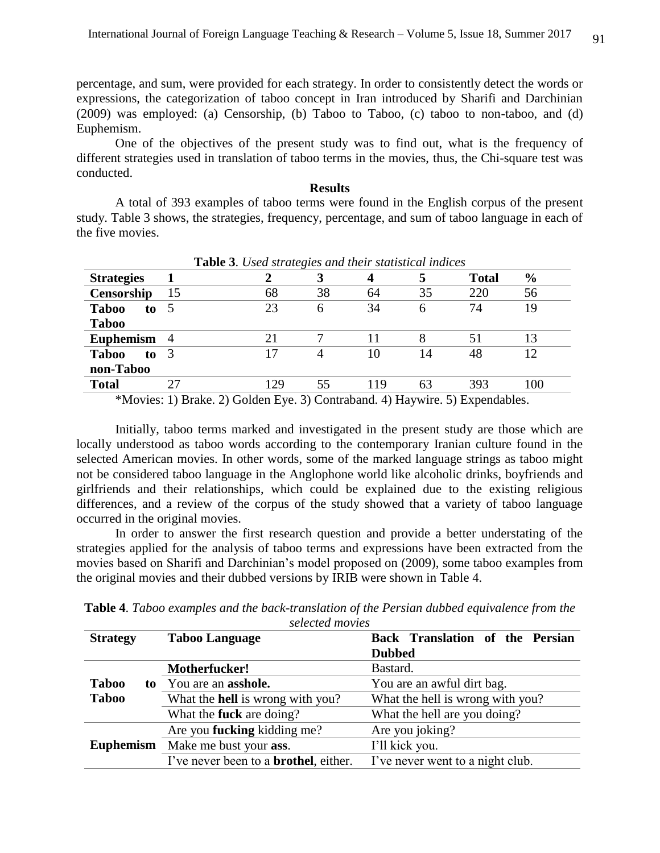percentage, and sum, were provided for each strategy. In order to consistently detect the words or expressions, the categorization of taboo concept in Iran introduced by Sharifi and Darchinian (2009) was employed: (a) Censorship, (b) Taboo to Taboo, (c) taboo to non-taboo, and (d) Euphemism.

One of the objectives of the present study was to find out, what is the frequency of different strategies used in translation of taboo terms in the movies, thus, the Chi-square test was conducted.

#### **Results**

A total of 393 examples of taboo terms were found in the English corpus of the present study. Table 3 shows, the strategies, frequency, percentage, and sum of taboo language in each of the five movies.

| <b>Table 5.</b> Osea strategies and their statistical matters |    |     |    |     |    |              |               |
|---------------------------------------------------------------|----|-----|----|-----|----|--------------|---------------|
| <b>Strategies</b>                                             |    |     |    |     | 5  | <b>Total</b> | $\frac{6}{6}$ |
| Censorship                                                    | 15 | 68  | 38 | 64  | 35 | 220          | 56            |
| <b>Taboo</b><br>to                                            |    | 23  | 6  | 34  | 6  | 74           | 19            |
| <b>Taboo</b>                                                  |    |     |    |     |    |              |               |
| Euphemism 4                                                   |    | 21  |    | 11  | 8  | 51           | 13            |
| <b>Taboo</b><br>$\mathbf{to} \quad 3$                         |    |     | 4  | 10  | 14 | 48           | 12            |
| non-Taboo                                                     |    |     |    |     |    |              |               |
| <b>Total</b>                                                  | 27 | 129 | 55 | 119 | 63 | 393          | 100           |

**Table 3**. *Used strategies and their statistical indices*

\*Movies: 1) Brake. 2) Golden Eye. 3) Contraband. 4) Haywire. 5) Expendables.

Initially, taboo terms marked and investigated in the present study are those which are locally understood as taboo words according to the contemporary Iranian culture found in the selected American movies. In other words, some of the marked language strings as taboo might not be considered taboo language in the Anglophone world like alcoholic drinks, boyfriends and girlfriends and their relationships, which could be explained due to the existing religious differences, and a review of the corpus of the study showed that a variety of taboo language occurred in the original movies.

In order to answer the first research question and provide a better understating of the strategies applied for the analysis of taboo terms and expressions have been extracted from the movies based on Sharifi and Darchinian's model proposed on (2009), some taboo examples from the original movies and their dubbed versions by IRIB were shown in Table 4.

| selectea movies    |                                               |                                  |  |  |  |
|--------------------|-----------------------------------------------|----------------------------------|--|--|--|
| <b>Strategy</b>    | <b>Taboo Language</b>                         | Back Translation of the Persian  |  |  |  |
|                    |                                               | <b>Dubbed</b>                    |  |  |  |
|                    | Motherfucker!                                 | Bastard.                         |  |  |  |
| <b>Taboo</b><br>to | You are an <b>asshole.</b>                    | You are an awful dirt bag.       |  |  |  |
| <b>Taboo</b>       | What the <b>hell</b> is wrong with you?       | What the hell is wrong with you? |  |  |  |
|                    | What the <b>fuck</b> are doing?               | What the hell are you doing?     |  |  |  |
|                    | Are you <b>fucking</b> kidding me?            | Are you joking?                  |  |  |  |
| <b>Euphemism</b>   | Make me bust your ass.                        | I'll kick you.                   |  |  |  |
|                    | I've never been to a <b>brothel</b> , either. | I've never went to a night club. |  |  |  |
|                    |                                               |                                  |  |  |  |

**Table 4**. *Taboo examples and the back-translation of the Persian dubbed equivalence from the selected movies*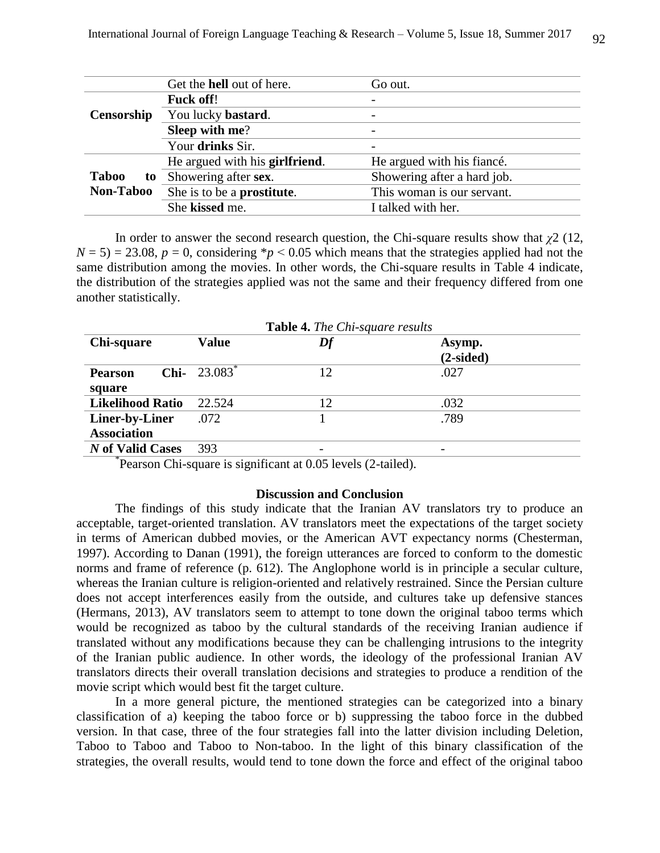|                    | Get the hell out of here.              | Go out.                     |  |
|--------------------|----------------------------------------|-----------------------------|--|
|                    | <b>Fuck off!</b>                       | -                           |  |
| Censorship         | You lucky bastard.                     | $\qquad \qquad$             |  |
|                    | Sleep with me?                         | $\qquad \qquad$             |  |
|                    | Your drinks Sir.                       | $\overline{\phantom{0}}$    |  |
|                    | He argued with his <b>girlfriend</b> . | He argued with his fiance.  |  |
| <b>Taboo</b><br>to | Showering after sex.                   | Showering after a hard job. |  |
| Non-Taboo          | She is to be a prostitute.             | This woman is our servant.  |  |
|                    | She kissed me.                         | I talked with her.          |  |

In order to answer the second research question, the Chi-square results show that *χ*2 (12,  $N = 5$ ) = 23.08,  $p = 0$ , considering \* $p < 0.05$  which means that the strategies applied had not the same distribution among the movies. In other words, the Chi-square results in Table 4 indicate, the distribution of the strategies applied was not the same and their frequency differed from one another statistically.

|                         |                        | <b>Table 4.</b> The Chi-square results |                       |
|-------------------------|------------------------|----------------------------------------|-----------------------|
| Chi-square              | <b>Value</b>           | Df                                     | Asymp.<br>$(2-sided)$ |
| <b>Pearson</b>          | <b>Chi-</b> $23.083^*$ | 12                                     | .027                  |
| square                  |                        |                                        |                       |
| <b>Likelihood Ratio</b> | 22.524                 | 12                                     | .032                  |
| Liner-by-Liner          | .072                   |                                        | .789                  |
| <b>Association</b>      |                        |                                        |                       |
| N of Valid Cases        | 393                    |                                        |                       |

\* Pearson Chi-square is significant at 0.05 levels (2-tailed).

#### **Discussion and Conclusion**

The findings of this study indicate that the Iranian AV translators try to produce an acceptable, target-oriented translation. AV translators meet the expectations of the target society in terms of American dubbed movies, or the American AVT expectancy norms (Chesterman, 1997). According to Danan (1991), the foreign utterances are forced to conform to the domestic norms and frame of reference (p. 612). The Anglophone world is in principle a secular culture, whereas the Iranian culture is religion-oriented and relatively restrained. Since the Persian culture does not accept interferences easily from the outside, and cultures take up defensive stances (Hermans, 2013), AV translators seem to attempt to tone down the original taboo terms which would be recognized as taboo by the cultural standards of the receiving Iranian audience if translated without any modifications because they can be challenging intrusions to the integrity of the Iranian public audience. In other words, the ideology of the professional Iranian AV translators directs their overall translation decisions and strategies to produce a rendition of the movie script which would best fit the target culture.

In a more general picture, the mentioned strategies can be categorized into a binary classification of a) keeping the taboo force or b) suppressing the taboo force in the dubbed version. In that case, three of the four strategies fall into the latter division including Deletion, Taboo to Taboo and Taboo to Non-taboo. In the light of this binary classification of the strategies, the overall results, would tend to tone down the force and effect of the original taboo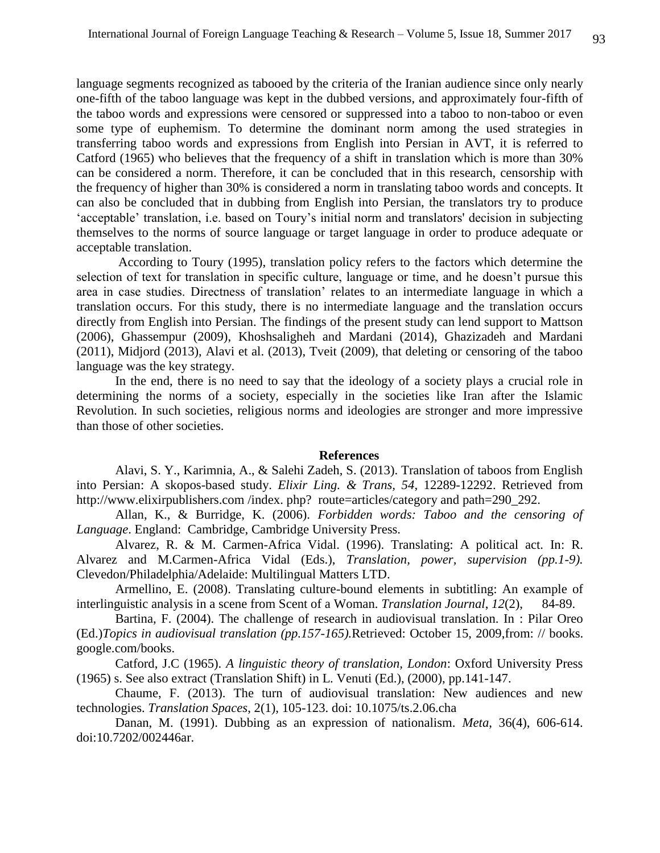language segments recognized as tabooed by the criteria of the Iranian audience since only nearly one-fifth of the taboo language was kept in the dubbed versions, and approximately four-fifth of the taboo words and expressions were censored or suppressed into a taboo to non-taboo or even some type of euphemism. To determine the dominant norm among the used strategies in transferring taboo words and expressions from English into Persian in AVT, it is referred to Catford (1965) who believes that the frequency of a shift in translation which is more than 30% can be considered a norm. Therefore, it can be concluded that in this research, censorship with the frequency of higher than 30% is considered a norm in translating taboo words and concepts. It can also be concluded that in dubbing from English into Persian, the translators try to produce 'acceptable' translation, i.e. based on Toury's initial norm and translators' decision in subjecting themselves to the norms of source language or target language in order to produce adequate or acceptable translation.

According to Toury (1995), translation policy refers to the factors which determine the selection of text for translation in specific culture, language or time, and he doesn't pursue this area in case studies. Directness of translation' relates to an intermediate language in which a translation occurs. For this study, there is no intermediate language and the translation occurs directly from English into Persian. The findings of the present study can lend support to Mattson (2006), Ghassempur (2009), Khoshsaligheh and Mardani (2014), Ghazizadeh and Mardani (2011), Midjord (2013), Alavi et al. (2013), Tveit (2009), that deleting or censoring of the taboo language was the key strategy.

In the end, there is no need to say that the ideology of a society plays a crucial role in determining the norms of a society, especially in the societies like Iran after the Islamic Revolution. In such societies, religious norms and ideologies are stronger and more impressive than those of other societies.

#### **References**

Alavi, S. Y., Karimnia, A., & Salehi Zadeh, S. (2013). Translation of taboos from English into Persian: A skopos-based study. *Elixir Ling. & Trans, 54*, 12289-12292. Retrieved from http://www.elixirpublishers.com/index.php? route=articles/category and path=290\_292.

Allan, K., & Burridge, K. (2006). *Forbidden words: Taboo and the censoring of Language*. England: Cambridge, Cambridge University Press.

Alvarez, R. & M. Carmen-Africa Vidal. (1996). Translating: A political act. In: R. Alvarez and M.Carmen-Africa Vidal (Eds.), *Translation, power, supervision (pp.1-9).* Clevedon/Philadelphia/Adelaide: Multilingual Matters LTD.

Armellino, E. (2008). Translating culture-bound elements in subtitling: An example of interlinguistic analysis in a scene from Scent of a Woman. *Translation Journal*, *12*(2), 84-89.

Bartina, F. (2004). The challenge of research in audiovisual translation. In : Pilar Oreo (Ed.)*Topics in audiovisual translation (pp.157-165).*Retrieved: October 15, 2009,from: // books. google.com/books.

Catford, J.C (1965). *A linguistic theory of translation, London*: Oxford University Press (1965) s. See also extract (Translation Shift) in L. Venuti (Ed.), (2000), pp.141-147.

Chaume, F. (2013). The turn of audiovisual translation: New audiences and new technologies. *Translation Spaces*, 2(1), 105-123. doi: 10.1075/ts.2.06.cha

Danan, M. (1991). Dubbing as an expression of nationalism. *Meta*, 36(4), 606-614. doi:10.7202/002446ar.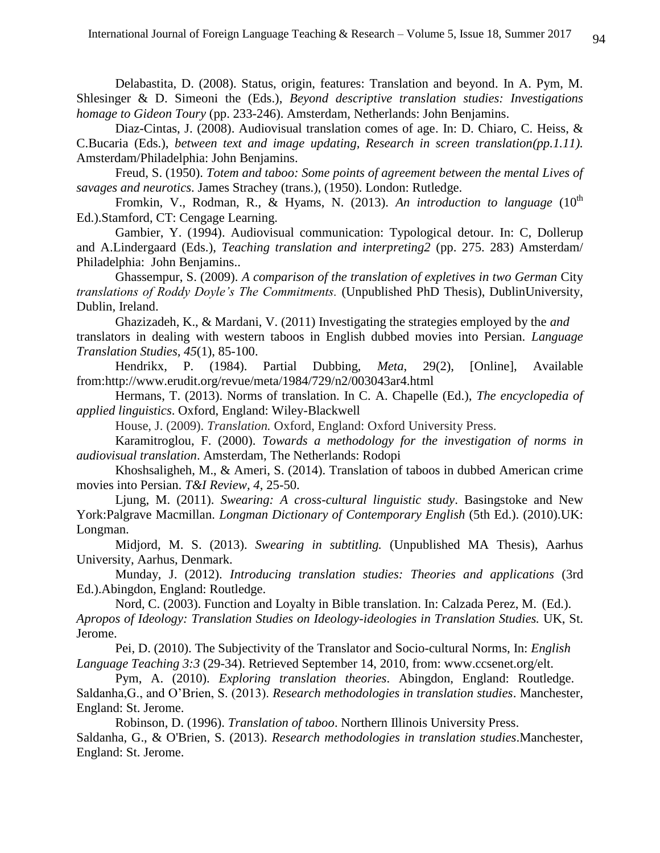Delabastita, D. (2008). Status, origin, features: Translation and beyond. In A. Pym, M. Shlesinger & D. Simeoni the (Eds.), *Beyond descriptive translation studies: Investigations homage to Gideon Toury* (pp. 233-246). Amsterdam, Netherlands: John Benjamins.

Diaz-Cintas, J. (2008). Audiovisual translation comes of age. In: D. Chiaro, C. Heiss, & C.Bucaria (Eds.), *between text and image updating, Research in screen translation(pp.1.11).*  Amsterdam/Philadelphia: John Benjamins.

Freud, S. (1950). *Totem and taboo: Some points of agreement between the mental Lives of savages and neurotics*. James Strachey (trans.), (1950). London: Rutledge.

Fromkin, V., Rodman, R., & Hyams, N. (2013). An introduction to language (10<sup>th</sup> Ed.).Stamford, CT: Cengage Learning.

Gambier, Y. (1994). Audiovisual communication: Typological detour. In: C, Dollerup and A.Lindergaard (Eds.), *Teaching translation and interpreting2* (pp. 275. 283) Amsterdam/ Philadelphia: John Benjamins..

Ghassempur, S. (2009). *A comparison of the translation of expletives in two German City translations of Roddy Doyle's The Commitments.* (Unpublished PhD Thesis), DublinUniversity, Dublin, Ireland.

Ghazizadeh, K., & Mardani, V. (2011) Investigating the strategies employed by the *and*  translators in dealing with western taboos in English dubbed movies into Persian. *Language Translation Studies, 45*(1), 85-100.

Hendrikx, P. (1984). Partial Dubbing, *Meta*, 29(2), [Online], Available from:http://www.erudit.org/revue/meta/1984/729/n2/003043ar4.html

Hermans, T. (2013). Norms of translation. In C. A. Chapelle (Ed.), *The encyclopedia of applied linguistics*. Oxford, England: Wiley-Blackwell

House, J. (2009). *Translation.* Oxford, England: Oxford University Press.

Karamitroglou, F. (2000). *Towards a methodology for the investigation of norms in audiovisual translation*. Amsterdam, The Netherlands: Rodopi

Khoshsaligheh, M., & Ameri, S. (2014). Translation of taboos in dubbed American crime movies into Persian. *T&I Review, 4*, 25-50.

Ljung, M. (2011). *Swearing: A cross-cultural linguistic study*. Basingstoke and New York:Palgrave Macmillan. *Longman Dictionary of Contemporary English* (5th Ed.). (2010).UK: Longman.

Midjord, M. S. (2013). *Swearing in subtitling.* (Unpublished MA Thesis), Aarhus University, Aarhus, Denmark.

Munday, J. (2012). *Introducing translation studies: Theories and applications* (3rd Ed.).Abingdon, England: Routledge.

Nord, C. (2003). Function and Loyalty in Bible translation. In: Calzada Perez, M. (Ed.). *Apropos of Ideology: Translation Studies on Ideology-ideologies in Translation Studies.* UK, St. Jerome.

Pei, D. (2010). The Subjectivity of the Translator and Socio-cultural Norms, In: *English Language Teaching 3:3* (29-34). Retrieved September 14, 2010, from: www.ccsenet.org/elt.

Pym, A. (2010). *Exploring translation theories*. Abingdon, England: Routledge. Saldanha,G., and O'Brien, S. (2013). *Research methodologies in translation studies*. Manchester, England: St. Jerome.

Robinson, D. (1996). *Translation of taboo*. Northern Illinois University Press.

Saldanha, G., & O'Brien, S. (2013). *Research methodologies in translation studies*.Manchester, England: St. Jerome.